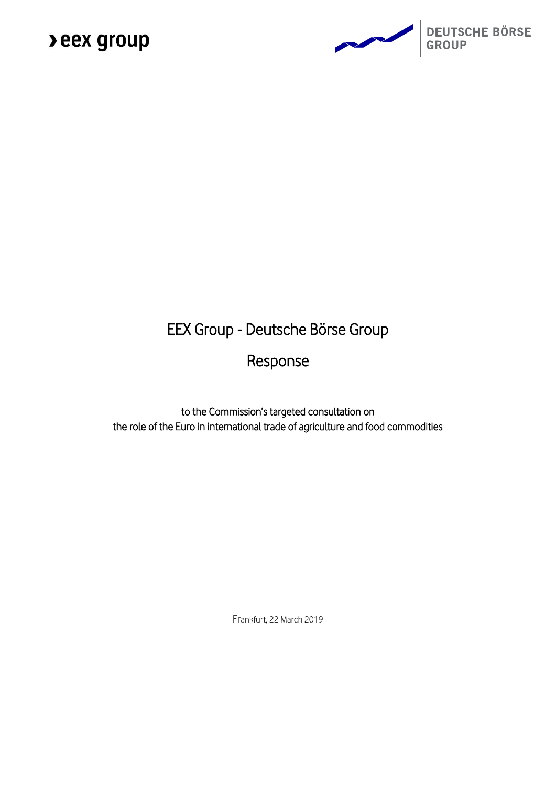

### EEX Group - Deutsche Börse Group

### Response

to the Commission's targeted consultation on the role of the Euro in international trade of agriculture and food commodities

Frankfurt, 22 March 2019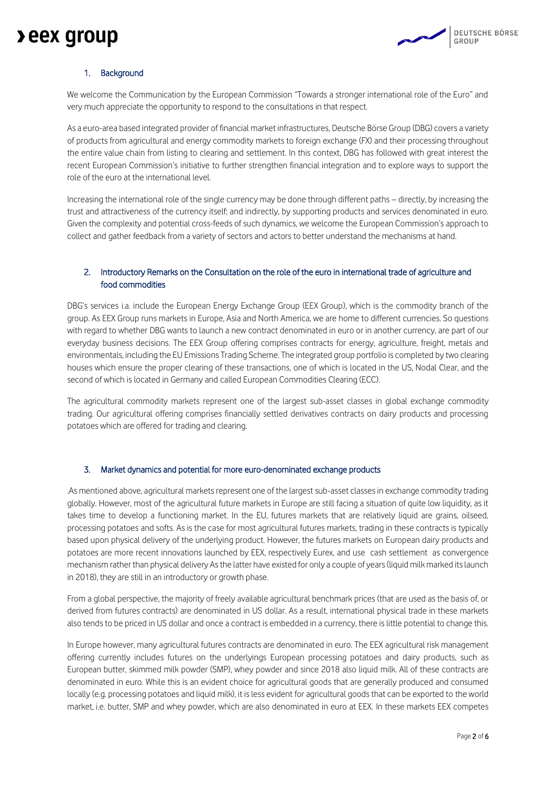### **>eex group**



### 1. Background

We welcome the Communication by the European Commission "Towards a stronger international role of the Euro" and very much appreciate the opportunity to respond to the consultations in that respect.

As a euro-area based integrated provider of financial market infrastructures, Deutsche Börse Group (DBG) covers a variety of products from agricultural and energy commodity markets to foreign exchange (FX) and their processing throughout the entire value chain from listing to clearing and settlement. In this context, DBG has followed with great interest the recent European Commission's initiative to further strengthen financial integration and to explore ways to support the role of the euro at the international level.

Increasing the international role of the single currency may be done through different paths – directly, by increasing the trust and attractiveness of the currency itself; and indirectly, by supporting products and services denominated in euro. Given the complexity and potential cross-feeds of such dynamics, we welcome the European Commission's approach to collect and gather feedback from a variety of sectors and actors to better understand the mechanisms at hand.

### 2. Introductory Remarks on the Consultation on the role of the euro in international trade of agriculture and food commodities

DBG's services i.a. include the European Energy Exchange Group (EEX Group), which is the commodity branch of the group. As EEX Group runs markets in Europe, Asia and North America, we are home to different currencies. So questions with regard to whether DBG wants to launch a new contract denominated in euro or in another currency, are part of our everyday business decisions. The EEX Group offering comprises contracts for energy, agriculture, freight, metals and environmentals, including the EU Emissions Trading Scheme. The integrated group portfolio is completed by two clearing houses which ensure the proper clearing of these transactions, one of which is located in the US, Nodal Clear, and the second of which is located in Germany and called European Commodities Clearing (ECC).

The agricultural commodity markets represent one of the largest sub-asset classes in global exchange commodity trading. Our agricultural offering comprises financially settled derivatives contracts on dairy products and processing potatoes which are offered for trading and clearing.

#### 3. Market dynamics and potential for more euro-denominated exchange products

.As mentioned above, agricultural markets represent one of the largest sub-asset classes in exchange commodity trading globally. However, most of the agricultural future markets in Europe are still facing a situation of quite low liquidity, as it takes time to develop a functioning market. In the EU, futures markets that are relatively liquid are grains, oilseed, processing potatoes and softs. As is the case for most agricultural futures markets, trading in these contracts is typically based upon physical delivery of the underlying product. However, the futures markets on European dairy products and potatoes are more recent innovations launched by EEX, respectively Eurex, and use cash settlement as convergence mechanism rather than physical delivery As the latter have existed for only a couple of years (liquid milk marked its launch in 2018), they are still in an introductory or growth phase.

From a global perspective, the majority of freely available agricultural benchmark prices (that are used as the basis of, or derived from futures contracts) are denominated in US dollar. As a result, international physical trade in these markets also tends to be priced in US dollar and once a contract is embedded in a currency, there is little potential to change this.

In Europe however, many agricultural futures contracts are denominated in euro. The EEX agricultural risk management offering currently includes futures on the underlyings European processing potatoes and dairy products, such as European butter, skimmed milk powder (SMP), whey powder and since 2018 also liquid milk. All of these contracts are denominated in euro. While this is an evident choice for agricultural goods that are generally produced and consumed locally (e.g. processing potatoes and liquid milk), it is less evident for agricultural goods that can be exported to the world market, i.e. butter, SMP and whey powder, which are also denominated in euro at EEX. In these markets EEX competes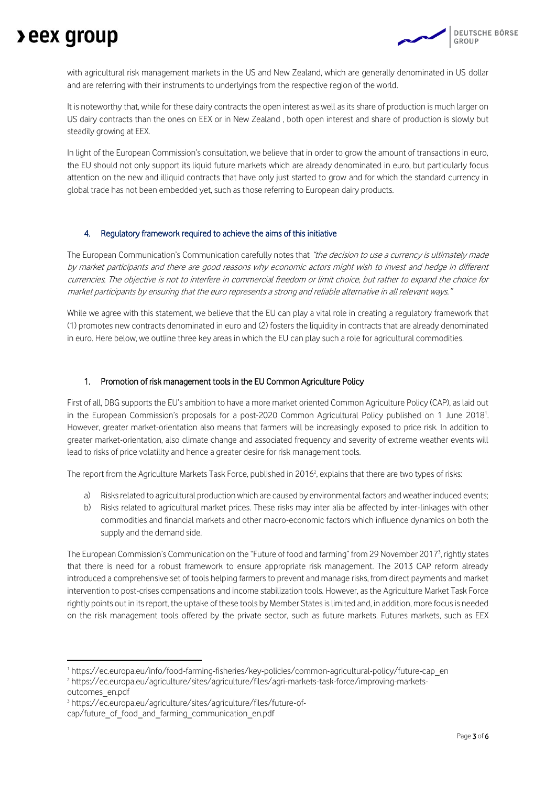## **Deex group**

with agricultural risk management markets in the US and New Zealand, which are generally denominated in US dollar and are referring with their instruments to underlyings from the respective region of the world.

It is noteworthy that, while for these dairy contracts the open interest as well as its share of production is much larger on US dairy contracts than the ones on EEX or in New Zealand , both open interest and share of production is slowly but steadily growing at EEX.

In light of the European Commission's consultation, we believe that in order to grow the amount of transactions in euro, the EU should not only support its liquid future markets which are already denominated in euro, but particularly focus attention on the new and illiquid contracts that have only just started to grow and for which the standard currency in global trade has not been embedded yet, such as those referring to European dairy products.

#### 4. Regulatory framework required to achieve the aims of this initiative

The European Communication's Communication carefully notes that "the decision to use a currency is ultimately made by market participants and there are good reasons why economic actors might wish to invest and hedge in different currencies. The objective is not to interfere in commercial freedom or limit choice, but rather to expand the choice for market participants by ensuring that the euro represents a strong and reliable alternative in all relevant ways."

While we agree with this statement, we believe that the EU can play a vital role in creating a regulatory framework that (1) promotes new contracts denominated in euro and (2) fosters the liquidity in contracts that are already denominated in euro. Here below, we outline three key areas in which the EU can play such a role for agricultural commodities.

#### 1. Promotion of risk management tools in the EU Common Agriculture Policy

First of all, DBG supports the EU's ambition to have a more market oriented Common Agriculture Policy (CAP), as laid out in the European Commission's proposals for a post-2020 Common Agricultural Policy published on 1 June 2018'. However, greater market-orientation also means that farmers will be increasingly exposed to price risk. In addition to greater market-orientation, also climate change and associated frequency and severity of extreme weather events will lead to risks of price volatility and hence a greater desire for risk management tools.

The report from the Agriculture Markets Task Force, published in 2016<sup>2</sup>, explains that there are two types of risks:

- a) Risks related to agricultural production which are caused by environmental factors and weather induced events;
- b) Risks related to agricultural market prices. These risks may inter alia be affected by inter-linkages with other commodities and financial markets and other macro-economic factors which influence dynamics on both the supply and the demand side.

The European Commission's Communication on the "Future of food and farming" from 29 November 2017<sup>3</sup> , rightly states that there is need for a robust framework to ensure appropriate risk management. The 2013 CAP reform already introduced a comprehensive set of tools helping farmers to prevent and manage risks, from direct payments and market intervention to post-crises compensations and income stabilization tools. However, as the Agriculture Market Task Force rightly points out in its report, the uptake of these tools by Member States is limited and, in addition, more focus is needed on the risk management tools offered by the private sector, such as future markets. Futures markets, such as EEX

1

<sup>1</sup> https://ec.europa.eu/info/food-farming-fisheries/key-policies/common-agricultural-policy/future-cap\_en

<sup>2</sup> https://ec.europa.eu/agriculture/sites/agriculture/files/agri-markets-task-force/improving-markets-

outcomes\_en.pdf

<sup>3</sup> https://ec.europa.eu/agriculture/sites/agriculture/files/future-ofcap/future\_of\_food\_and\_farming\_communication\_en.pdf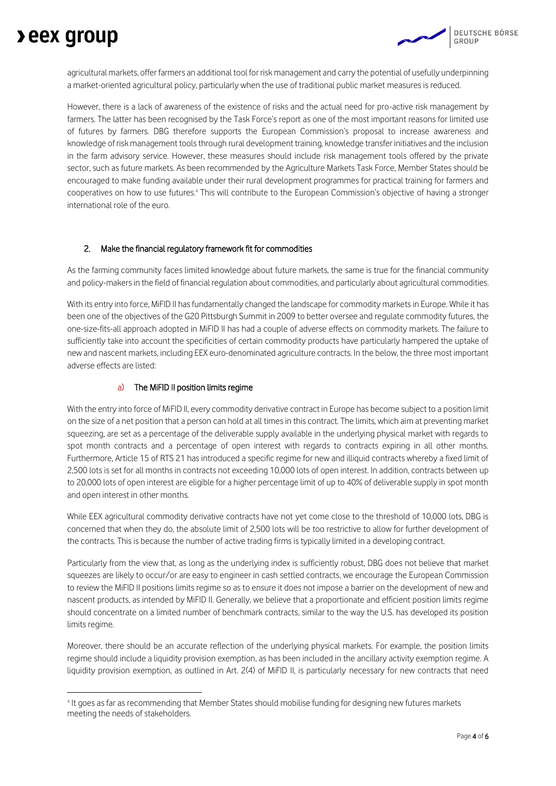## **Deex group**

1

agricultural markets, offer farmers an additional tool for risk management and carry the potential of usefully underpinning a market-oriented agricultural policy, particularly when the use of traditional public market measures is reduced.

However, there is a lack of awareness of the existence of risks and the actual need for pro-active risk management by farmers. The latter has been recognised by the Task Force's report as one of the most important reasons for limited use of futures by farmers. DBG therefore supports the European Commission's proposal to increase awareness and knowledge of risk management tools through rural development training, knowledge transfer initiatives and the inclusion in the farm advisory service. However, these measures should include risk management tools offered by the private sector, such as future markets. As been recommended by the Agriculture Markets Task Force, Member States should be encouraged to make funding available under their rural development programmes for practical training for farmers and cooperatives on how to use futures.<sup>4</sup> This will contribute to the European Commission's objective of having a stronger international role of the euro.

### 2. Make the financial regulatory framework fit for commodities

As the farming community faces limited knowledge about future markets, the same is true for the financial community and policy-makers in the field of financial regulation about commodities, and particularly about agricultural commodities.

With its entry into force. MiFID II has fundamentally changed the landscape for commodity markets in Europe. While it has been one of the objectives of the G20 Pittsburgh Summit in 2009 to better oversee and regulate commodity futures, the one-size-fits-all approach adopted in MiFID II has had a couple of adverse effects on commodity markets. The failure to sufficiently take into account the specificities of certain commodity products have particularly hampered the uptake of new and nascent markets, including EEX euro-denominated agriculture contracts. In the below, the three most important adverse effects are listed:

### a) The MiFID II position limits regime

With the entry into force of MiFID II, every commodity derivative contract in Europe has become subject to a position limit on the size of a net position that a person can hold at all times in this contract. The limits, which aim at preventing market squeezing, are set as a percentage of the deliverable supply available in the underlying physical market with regards to spot month contracts and a percentage of open interest with regards to contracts expiring in all other months. Furthermore, Article 15 of RTS 21 has introduced a specific regime for new and illiquid contracts whereby a fixed limit of 2,500 lots is set for all months in contracts not exceeding 10,000 lots of open interest. In addition, contracts between up to 20,000 lots of open interest are eligible for a higher percentage limit of up to 40% of deliverable supply in spot month and open interest in other months.

While EEX agricultural commodity derivative contracts have not yet come close to the threshold of 10,000 lots, DBG is concerned that when they do, the absolute limit of 2,500 lots will be too restrictive to allow for further development of the contracts. This is because the number of active trading firms is typically limited in a developing contract.

Particularly from the view that, as long as the underlying index is sufficiently robust, DBG does not believe that market squeezes are likely to occur/or are easy to engineer in cash settled contracts, we encourage the European Commission to review the MiFID II positions limits regime so as to ensure it does not impose a barrier on the development of new and nascent products, as intended by MiFID II. Generally, we believe that a proportionate and efficient position limits regime should concentrate on a limited number of benchmark contracts, similar to the way the U.S. has developed its position limits regime.

Moreover, there should be an accurate reflection of the underlying physical markets. For example, the position limits regime should include a liquidity provision exemption, as has been included in the ancillary activity exemption regime. A liquidity provision exemption, as outlined in Art. 2(4) of MiFID II, is particularly necessary for new contracts that need

<sup>4</sup> It goes as far as recommending that Member States should mobilise funding for designing new futures markets meeting the needs of stakeholders.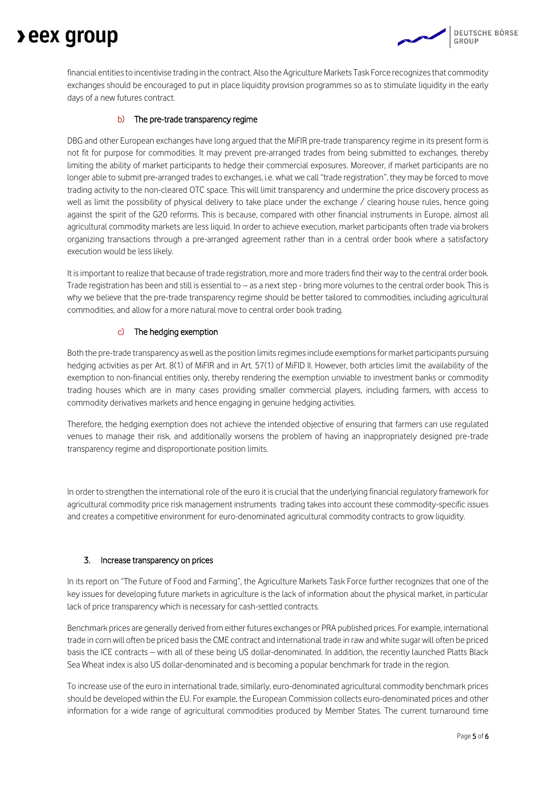# **Deex group**

financial entities to incentivise trading in the contract. Also the Agriculture Markets Task Force recognizes that commodity exchanges should be encouraged to put in place liquidity provision programmes so as to stimulate liquidity in the early days of a new futures contract.

### b) The pre-trade transparency regime

DBG and other European exchanges have long argued that the MiFIR pre-trade transparency regime in its present form is not fit for purpose for commodities. It may prevent pre-arranged trades from being submitted to exchanges, thereby limiting the ability of market participants to hedge their commercial exposures. Moreover, if market participants are no longer able to submit pre-arranged trades to exchanges, i.e. what we call "trade registration", they may be forced to move trading activity to the non-cleared OTC space. This will limit transparency and undermine the price discovery process as well as limit the possibility of physical delivery to take place under the exchange / clearing house rules, hence going against the spirit of the G20 reforms. This is because, compared with other financial instruments in Europe, almost all agricultural commodity markets are less liquid. In order to achieve execution, market participants often trade via brokers organizing transactions through a pre-arranged agreement rather than in a central order book where a satisfactory execution would be less likely.

It is important to realize that because of trade registration, more and more traders find their way to the central order book. Trade registration has been and still is essential to – as a next step - bring more volumes to the central order book. This is why we believe that the pre-trade transparency regime should be better tailored to commodities, including agricultural commodities, and allow for a more natural move to central order book trading.

### c) The hedging exemption

Both the pre-trade transparency as well as the position limits regimes include exemptions for market participants pursuing hedging activities as per Art. 8(1) of MiFIR and in Art. 57(1) of MiFID II. However, both articles limit the availability of the exemption to non-financial entities only, thereby rendering the exemption unviable to investment banks or commodity trading houses which are in many cases providing smaller commercial players, including farmers, with access to commodity derivatives markets and hence engaging in genuine hedging activities.

Therefore, the hedging exemption does not achieve the intended objective of ensuring that farmers can use regulated venues to manage their risk, and additionally worsens the problem of having an inappropriately designed pre-trade transparency regime and disproportionate position limits.

In order to strengthen the international role of the euro it is crucial that the underlying financial regulatory framework for agricultural commodity price risk management instruments trading takes into account these commodity-specific issues and creates a competitive environment for euro-denominated agricultural commodity contracts to grow liquidity.

### 3. Increase transparency on prices

In its report on "The Future of Food and Farming", the Agriculture Markets Task Force further recognizes that one of the key issues for developing future markets in agriculture is the lack of information about the physical market, in particular lack of price transparency which is necessary for cash-settled contracts.

Benchmark prices are generally derived from either futures exchanges or PRA published prices. For example, international trade in corn will often be priced basis the CME contract and international trade in raw and white sugar will often be priced basis the ICE contracts – with all of these being US dollar-denominated. In addition, the recently launched Platts Black Sea Wheat index is also US dollar-denominated and is becoming a popular benchmark for trade in the region.

To increase use of the euro in international trade, similarly, euro-denominated agricultural commodity benchmark prices should be developed within the EU. For example, the European Commission collects euro-denominated prices and other information for a wide range of agricultural commodities produced by Member States. The current turnaround time